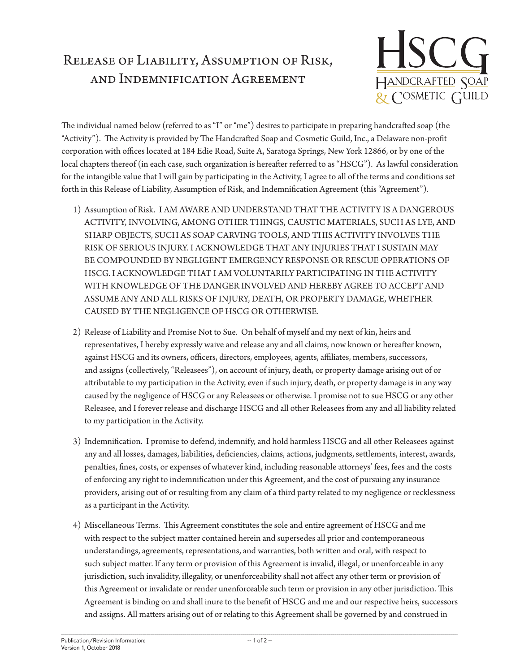## Release of Liability, Assumption of Risk, and Indemnification Agreement



The individual named below (referred to as "I" or "me") desires to participate in preparing handcrafted soap (the "Activity"). The Activity is provided by The Handcrafted Soap and Cosmetic Guild, Inc., a Delaware non-profit corporation with offices located at 184 Edie Road, Suite A, Saratoga Springs, New York 12866, or by one of the local chapters thereof (in each case, such organization is hereafter referred to as "HSCG"). As lawful consideration for the intangible value that I will gain by participating in the Activity, I agree to all of the terms and conditions set forth in this Release of Liability, Assumption of Risk, and Indemnification Agreement (this "Agreement").

- 1) Assumption of Risk. I AM AWARE AND UNDERSTAND THAT THE ACTIVITY IS A DANGEROUS ACTIVITY, INVOLVING, AMONG OTHER THINGS, CAUSTIC MATERIALS, SUCH AS LYE, AND SHARP OBJECTS, SUCH AS SOAP CARVING TOOLS, AND THIS ACTIVITY INVOLVES THE RISK OF SERIOUS INJURY. I ACKNOWLEDGE THAT ANY INJURIES THAT I SUSTAIN MAY BE COMPOUNDED BY NEGLIGENT EMERGENCY RESPONSE OR RESCUE OPERATIONS OF HSCG. I ACKNOWLEDGE THAT I AM VOLUNTARILY PARTICIPATING IN THE ACTIVITY WITH KNOWLEDGE OF THE DANGER INVOLVED AND HEREBY AGREE TO ACCEPT AND ASSUME ANY AND ALL RISKS OF INJURY, DEATH, OR PROPERTY DAMAGE, WHETHER CAUSED BY THE NEGLIGENCE OF HSCG OR OTHERWISE.
- 2) Release of Liability and Promise Not to Sue. On behalf of myself and my next of kin, heirs and representatives, I hereby expressly waive and release any and all claims, now known or hereafter known, against HSCG and its owners, officers, directors, employees, agents, affiliates, members, successors, and assigns (collectively, "Releasees"), on account of injury, death, or property damage arising out of or attributable to my participation in the Activity, even if such injury, death, or property damage is in any way caused by the negligence of HSCG or any Releasees or otherwise. I promise not to sue HSCG or any other Releasee, and I forever release and discharge HSCG and all other Releasees from any and all liability related to my participation in the Activity.
- 3) Indemnification. I promise to defend, indemnify, and hold harmless HSCG and all other Releasees against any and all losses, damages, liabilities, deficiencies, claims, actions, judgments, settlements, interest, awards, penalties, fines, costs, or expenses of whatever kind, including reasonable attorneys' fees, fees and the costs of enforcing any right to indemnification under this Agreement, and the cost of pursuing any insurance providers, arising out of or resulting from any claim of a third party related to my negligence or recklessness as a participant in the Activity.
- 4) Miscellaneous Terms. This Agreement constitutes the sole and entire agreement of HSCG and me with respect to the subject matter contained herein and supersedes all prior and contemporaneous understandings, agreements, representations, and warranties, both written and oral, with respect to such subject matter. If any term or provision of this Agreement is invalid, illegal, or unenforceable in any jurisdiction, such invalidity, illegality, or unenforceability shall not affect any other term or provision of this Agreement or invalidate or render unenforceable such term or provision in any other jurisdiction. This Agreement is binding on and shall inure to the benefit of HSCG and me and our respective heirs, successors and assigns. All matters arising out of or relating to this Agreement shall be governed by and construed in